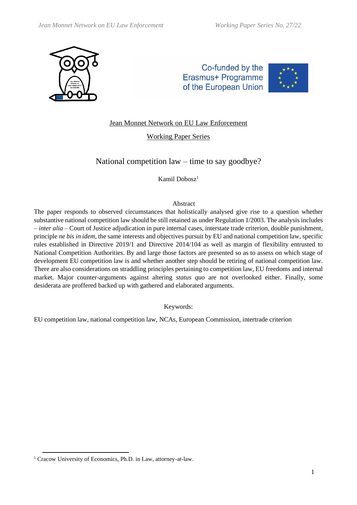

Co-funded by the Erasmus+ Programme of the European Union



# Jean Monnet Network on EU Law Enforcement

# Working Paper Series

# National competition law – time to say goodbye?

Kamil Dobosz<sup>1</sup>

# Abstract

The paper responds to observed circumstances that holistically analysed give rise to a question whether substantive national competition law should be still retained as under Regulation 1/2003. The analysis includes – *inter alia* – Court of Justice adjudication in pure internal cases, interstate trade criterion, double punishment, principle *ne bis in idem,* the same interests and objectives pursuit by EU and national competition law, specific rules established in Directive 2019/1 and Directive 2014/104 as well as margin of flexibility entrusted to National Competition Authorities. By and large those factors are presented so as to assess on which stage of development EU competition law is and whether another step should be retiring of national competition law. There are also considerations on straddling principles pertaining to competition law, EU freedoms and internal market. Major counter-arguments against altering *status quo* are not overlooked either. Finally, some desiderata are proffered backed up with gathered and elaborated arguments.

Keywords:

EU competition law, national competition law, NCAs, European Commission, intertrade criterion

<sup>&</sup>lt;sup>1</sup> Cracow University of Economics, Ph.D. in Law, attorney-at-law.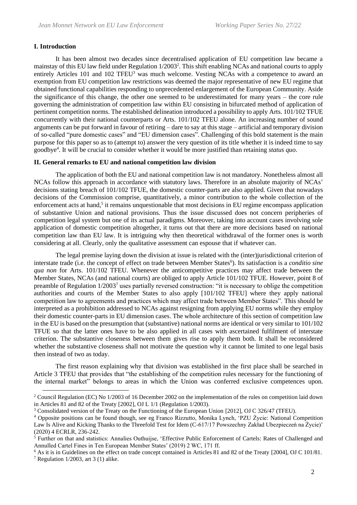# **I. Introduction**

It has been almost two decades since decentralised application of EU competition law became a mainstay of this EU law field under Regulation 1/2003<sup>2</sup>. This shift enabling NCAs and national courts to apply entirely Articles 101 and 102 TFEU<sup>3</sup> was much welcome. Vesting NCAs with a competence to award an exemption from EU competition law restrictions was deemed the major representative of new EU regime that obtained functional capabilities responding to unprecedented enlargement of the European Community. Aside the significance of this change, the other one seemed to be underestimated for many years – the core rule governing the administration of competition law within EU consisting in bifurcated method of application of pertinent competition norms. The established delineation introduced a possibility to apply Arts. 101/102 TFUE concurrently with their national counterparts or Arts. 101/102 TFEU alone. An increasing number of sound arguments can be put forward in favour of retiring – dare to say at this stage – artificial and temporary division of so-called "pure domestic cases" and "EU dimension cases". Challenging of this bold statement is the main purpose for this paper so as to (attempt to) answer the very question of its title whether it is indeed time to say goodbye<sup>4</sup> . It will be crucial to consider whether it would be more justified than retaining *status quo*.

## **II. General remarks to EU and national competition law division**

The application of both the EU and national competition law is not mandatory. Nonetheless almost all NCAs follow this approach in accordance with statutory laws. Therefore in an absolute majority of NCAs' decisions stating breach of 101/102 TFUE, the domestic counter-parts are also applied. Given that nowadays decisions of the Commission comprise, quantitatively, a minor contribution to the whole collection of the enforcement acts at hand,<sup>5</sup> it remains unquestionable that most decisions in EU regime encompass application of substantive Union and national provisions. Thus the issue discussed does not concern peripheries of competition legal system but one of its actual paradigms. Moreover, taking into account cases involving sole application of domestic competition altogether, it turns out that there are more decisions based on national competition law than EU law. It is intriguing why then theoretical withdrawal of the former ones is worth considering at all. Clearly, only the qualitative assessment can espouse that if whatever can.

The legal premise laying down the division at issue is related with the (inter)jurisdictional criterion of interstate trade (i.e. the concept of effect on trade between Member States<sup>6</sup>). Its satisfaction is a *conditio sine qua non* for Arts. 101/102 TFEU. Whenever the anticompetitive practices may affect trade between the Member States, NCAs (and national courts) are obliged to apply Article 101/102 TFUE. However, point 8 of preamble of Regulation 1/2003<sup>7</sup> uses partially reversed construction: "it is necessary to oblige the competition authorities and courts of the Member States to also apply [101/102 TFEU] where they apply national competition law to agreements and practices which may affect trade between Member States". This should be interpreted as a prohibition addressed to NCAs against resigning from applying EU norms while they employ their domestic counter-parts in EU dimension cases. The whole architecture of this section of competition law in the EU is based on the presumption that (substantive) national norms are identical or very similar to 101/102 TFUE so that the latter ones have to be also applied in all cases with ascertained fulfilment of interstate criterion. The substantive closeness between them gives rise to apply them both. It shall be reconsidered whether the substantive closeness shall not motivate the question why it cannot be limited to one legal basis then instead of two as today.

The first reason explaining why that division was established in the first place shall be searched in Article 3 TFEU that provides that "the establishing of the competition rules necessary for the functioning of the internal market" belongs to areas in which the Union was conferred exclusive competences upon.

<sup>2</sup> Council Regulation (EC) No 1/2003 of 16 December 2002 on the implementation of the rules on competition laid down in Articles 81 and 82 of the Treaty [2002], OJ L 1/1 (Regulation 1/2003).

<sup>&</sup>lt;sup>3</sup> Consolidated version of the Treaty on the Functioning of the European Union [2012], OJ C 326/47 (TFEU).

<sup>4</sup> Opposite positions can be found though, see eg Franco Rizzutto, Monika Lynch, 'PZU Życie: National Competition Law Is Alive and Kicking Thanks to the Threefold Test for Idem (C-617/17 Powszechny Zakład Ubezpieczeń na Życie)' (2020) 4 ECRLR, 236-242.

<sup>5</sup> Further on that and statistics: Annalies Outhuijse, 'Effective Public Enforcement of Cartels: Rates of Challenged and Annulled Cartel Fines in Ten European Member States' (2019) 2 WC, 171 ff*.*

<sup>6</sup> As it is in Guidelines on the effect on trade concept contained in Articles 81 and 82 of the Treaty [2004], OJ C 101/81.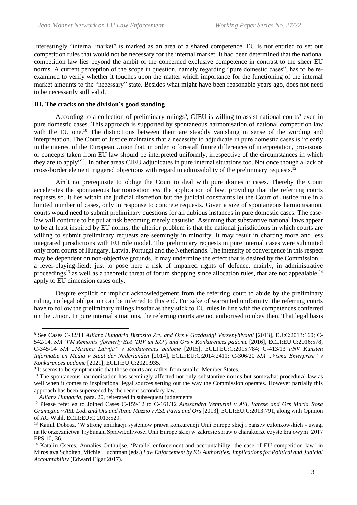Interestingly "internal market" is marked as an area of a shared competence. EU is not entitled to set out competition rules that would not be necessary for the internal market. It had been determined that the national competition law lies beyond the ambit of the concerned exclusive competence in contrast to the sheer EU norms. A current perception of the scope in question, namely regarding "pure domestic cases", has to be reexamined to verify whether it touches upon the matter which importance for the functioning of the internal market amounts to the "necessary" state. Besides what might have been reasonable years ago, does not need to be necessarily still valid.

### **III. The cracks on the division's good standing**

According to a collection of preliminary rulings<sup>8</sup>, CJEU is willing to assist national courts<sup>9</sup> even in pure domestic cases. This approach is supported by spontaneous harmonisation of national competition law with the EU one.<sup>10</sup> The distinctions between them are steadily vanishing in sense of the wording and interpretation. The Court of Justice maintains that a necessity to adjudicate in pure domestic cases is "clearly in the interest of the European Union that, in order to forestall future differences of interpretation, provisions or concepts taken from EU law should be interpreted uniformly, irrespective of the circumstances in which they are to apply"<sup>11</sup>. In other areas CJEU adjudicates in pure internal situations too. Not once though a lack of cross-border element triggered objections with regard to admissibility of the preliminary requests.<sup>12</sup>

Ain't no prerequisite to oblige the Court to deal with pure domestic cases. Thereby the Court accelerates the spontaneous harmonisation *via* the application of law, providing that the referring courts requests so. It lies within the judicial discretion but the judicial constraints let the Court of Justice rule in a limited number of cases, only in response to concrete requests. Given a size of spontaneous harmonisation, courts would need to submit preliminary questions for all dubious instances in pure domestic cases. The caselaw will continue to be put at risk becoming merely casuistic. Assuming that substantive national laws appear to be at least inspired by EU norms, the ulterior problem is that the national jurisdictions in which courts are willing to submit preliminary requests are seemingly in minority. It may result in charting more and less integrated jurisdictions with EU role model. The preliminary requests in pure internal cases were submitted only from courts of Hungary, Latvia, Portugal and the Netherlands. The intensity of convergence in this respect may be dependent on non-objective grounds. It may undermine the effect that is desired by the Commission – a level-playing-field; just to pose here a risk of impaired rights of defence, mainly, in administrative proceedings<sup>13</sup> as well as a theoretic threat of forum shopping since allocation rules, that are not appealable,<sup>14</sup> apply to EU dimension cases only.

Despite explicit or implicit acknowledgement from the referring court to abide by the preliminary ruling, no legal obligation can be inferred to this end. For sake of warranted uniformity, the referring courts have to follow the preliminary rulings insofar as they stick to EU rules in line with the competences conferred on the Union. In pure internal situations, the referring courts are not authorised to obey then. That legal basis

<sup>8</sup> See Cases C-32/11 *Allianz Hungária Biztosító Zrt. and Ors v Gazdasági Versenyhivatal* [2013], EU:C:2013:160; C-542/14, *SIA 'VM Remonts'(formerly SIA 'DIV un KO') and Ors v Konkurences padome* [2016], ECLI:EU:C:2016:578; C-345/14 *SIA "Maxima Latvija" v Konkurences padome* [2015], ECLI:EU:C:2015:784; C-413/13 *FNV Kunsten Informatie en Media v Staat der Nederlanden* [2014], ECLI:EU:C:2014:2411; C-306/20 *SIA "Visma Enterprise" v Konkurences padome* [2021], ECLI:EU:C:2021:935.

<sup>&</sup>lt;sup>9</sup> It seems to be symptomatic that those courts are rather from smaller Member States.

<sup>&</sup>lt;sup>10</sup> The spontaneous harmonisation has seemingly affected not only substantive norms but somewhat procedural law as well when it comes to inspirational legal sources setting out the way the Commission operates. However partially this approach has been superseded by the recent secondary law.

<sup>&</sup>lt;sup>11</sup> *Allianz Hungária*, para. 20, reiterated in subsequent judgements.

<sup>12</sup> Please refer eg to Joined Cases C[-159/12](https://curia.europa.eu/juris/liste.jsf?num=159/12&language=en) to C-161/12 *Alessandra Venturini v ASL Varese and Ors Maria Rosa Gramegna v ASL Lodi and Ors and Anna Muzzio v ASL Pavia and Ors* [2013], ECLI:EU:C:2013:791, along with Opinion of AG Wahl, ECLI:EU:C:2013:529.

<sup>&</sup>lt;sup>13</sup> Kamil Dobosz, 'W stronę unifikacji systemów prawa konkurencji Unii Europejskiej i państw członkowskich - uwagi na tle orzecznictwa Trybunału Sprawiedliwości Unii Europejskiej w zakresie spraw o charakterze czysto krajowym' 2017 EPS 10, 36.

<sup>&</sup>lt;sup>14</sup> Katalin Cseres, Annalies Outhuijse, 'Parallel enforcement and accountability: the case of EU competition law' in Miroslava Scholten, Michiel Luchtman (eds.) *Law Enforcement by EU Authorities: Implications for Political and Judicial Accountability* (Edward Elgar 2017).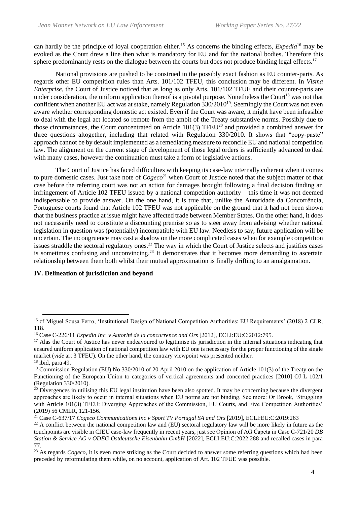can hardly be the principle of loyal cooperation either.<sup>15</sup> As concerns the binding effects, *Expedia*<sup>16</sup> may be evoked as the Court drew a line then what is mandatory for EU and for the national bodies. Therefore this sphere predominantly rests on the dialogue between the courts but does not produce binding legal effects.<sup>17</sup>

National provisions are pushed to be construed in the possibly exact fashion as EU counter-parts. As regards other EU competition rules than Arts. 101/102 TFEU, this conclusion may be different. In *Visma Enterprise*, the Court of Justice noticed that as long as only Arts. 101/102 TFUE and their counter-parts are under consideration, the uniform application thereof is a pivotal purpose. Nonetheless the Court<sup>18</sup> was not that confident when another EU act was at stake, namely Regulation 330/2010<sup>19</sup>. Seemingly the Court was not even aware whether corresponding domestic act existed. Even if the Court was aware, it might have been infeasible to deal with the legal act located so remote from the ambit of the Treaty substantive norms. Possibly due to those circumstances, the Court concentrated on Article 101(3) TFEU<sup>20</sup> and provided a combined answer for three questions altogether, including that related with Regulation 330/2010. It shows that "copy-paste" approach cannot be by default implemented as a remediating measure to reconcile EU and national competition law. The alignment on the current stage of development of those legal orders is sufficiently advanced to deal with many cases, however the continuation must take a form of legislative actions.

The Court of Justice has faced difficulties with keeping its case-law internally coherent when it comes to pure domestic cases. Just take note of *Cogeco*<sup>21</sup> when Court of Justice noted that the subject matter of that case before the referring court was not an action for damages brought following a final decision finding an infringement of Article 102 TFEU issued by a national competition authority – this time it was not deemed indispensable to provide answer. On the one hand, it is true that, unlike the Autoridade da Concorrência, Portuguese courts found that Article 102 TFEU was not applicable on the ground that it had not been shown that the business practice at issue might have affected trade between Member States. On the other hand, it does not necessarily need to constitute a discounting premise so as to steer away from advising whether national legislation in question was (potentially) incompatible with EU law. Needless to say, future application will be uncertain. The incongruence may cast a shadow on the more complicated cases when for example competition issues straddle the sectoral regulatory ones.<sup>22</sup> The way in which the Court of Justice selects and justifies cases is sometimes confusing and unconvincing.<sup>23</sup> It demonstrates that it becomes more demanding to ascertain relationship between them both whilst their mutual approximation is finally drifting to an amalgamation.

# **IV. Delineation of jurisdiction and beyond**

<sup>&</sup>lt;sup>15</sup> cf Miguel Sousa Ferro, 'Institutional Design of National Competition Authorities: EU Requirements' (2018) 2 CLR, 118.

<sup>16</sup> Case C-226/11 *Expedia Inc. v Autorité de la concurrence and Ors* [2012], ECLI:EU:C:2012:795.

<sup>&</sup>lt;sup>17</sup> Alas the Court of Justice has never endeavoured to legitimise its jurisdiction in the internal situations indicating that ensured uniform application of national competition law with EU one is necessary for the proper functioning of the single market (*vide* art 3 TFEU). On the other hand, the contrary viewpoint was presented neither.

<sup>18</sup> ibid, para 49.

<sup>&</sup>lt;sup>19</sup> Commission Regulation (EU) No 330/2010 of 20 April 2010 on the application of Article 101(3) of the Treaty on the Functioning of the European Union to categories of vertical agreements and concerted practices [2010] OJ L 102/1 (Regulation 330/2010).

 $20$  Divergences in utilising this EU legal institution have been also spotted. It may be concerning because the divergent approaches are likely to occur in internal situations when EU norms are not binding. See more: Or Brook, 'Struggling with Article 101(3) TFEU: Diverging Approaches of the Commission, EU Courts, and Five Competition Authorities' (2019) 56 CMLR, 121-156.

<sup>21</sup> Case C-637/17 *Cogeco Communications Inc v Sport TV Portugal SA and Ors* [2019], ECLI:EU:C:2019:263

<sup>&</sup>lt;sup>22</sup> A conflict between the national competition law and (EU) sectoral regulatory law will be more likely in future as the touchpoints are visible in CJEU case-law frequently in recent years, just see Opinion of AG Ćapeta in Case C-721/20 *DB Station & Service AG v ODEG Ostdeutsche Eisenbahn GmbH* [2022], ECLI:EU:C:2022:288 and recalled cases in para 77.

<sup>&</sup>lt;sup>23</sup> As regards *Cogeco*, it is even more striking as the Court decided to answer some referring questions which had been preceded by reformulating them while, on no account, application of Art. 102 TFUE was possible.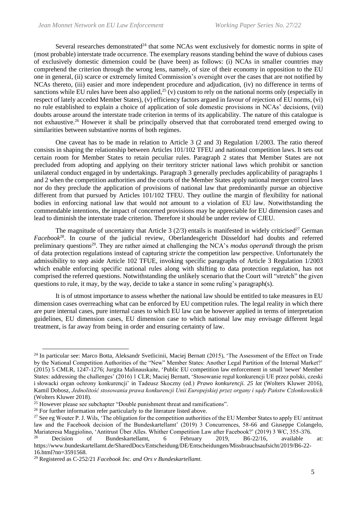Several researches demonstrated $24$  that some NCAs went exclusively for domestic norms in spite of (most probable) interstate trade occurrence. The exemplary reasons standing behind the wave of dubious cases of exclusively domestic dimension could be (have been) as follows: (i) NCAs in smaller countries may comprehend the criterion through the wrong lens, namely, of size of their economy in opposition to the EU one in general, (ii) scarce or extremely limited Commission's oversight over the cases that are not notified by NCAs thereto, (iii) easier and more independent procedure and adjudication, (iv) no difference in terms of sanctions while EU rules have been also applied,<sup>25</sup> (v) custom to rely on the national norms only (especially in respect of lately acceded Member States), (v) efficiency factors argued in favour of rejection of EU norms, (vi) no rule established to explain a choice of application of sole domestic provisions in NCAs' decisions, (vii) doubts arouse around the interstate trade criterion in terms of its applicability. The nature of this catalogue is not exhaustive.<sup>26</sup> However it shall be principally observed that that corroborated trend emerged owing to similarities between substantive norms of both regimes.

One caveat has to be made in relation to Article 3 (2 and 3) Regulation 1/2003. The ratio thereof consists in shaping the relationship between Articles 101/102 TFEU and national competition laws. It sets out certain room for Member States to retain peculiar rules. Paragraph 2 states that Member States are not precluded from adopting and applying on their territory stricter national laws which prohibit or sanction unilateral conduct engaged in by undertakings. Paragraph 3 generally precludes applicability of paragraphs 1 and 2 when the competition authorities and the courts of the Member States apply national merger control laws nor do they preclude the application of provisions of national law that predominantly pursue an objective different from that pursued by Articles 101/102 TFEU. They outline the margin of flexibility for national bodies in enforcing national law that would not amount to a violation of EU law. Notwithstanding the commendable intentions, the impact of concerned provisions may be appreciable for EU dimension cases and lead to diminish the interstate trade criterion. Therefore it should be under review of CJEU.

The magnitude of uncertainty that Article 3  $(2/3)$  entails is manifested in widely criticised<sup>27</sup> German *Facebook*<sup>28</sup> . In course of the judicial review, Oberlandesgericht Düsseldorf had doubts and referred preliminary questions<sup>29</sup>. They are rather aimed at challenging the NCA's *modus operandi* through the prism of data protection regulations instead of capturing *stricte* the competition law perspective. Unfortunately the admissibility to step aside Article 102 TFUE, invoking specific paragraphs of Article 3 Regulation 1/2003 which enable enforcing specific national rules along with shifting to data protection regulation, has not comprised the referred questions. Notwithstanding the unlikely scenario that the Court will "stretch" the given questions to rule, it may, by the way, decide to take a stance in some ruling's paragraph(s).

It is of utmost importance to assess whether the national law should be entitled to take measures in EU dimension cases overreaching what can be enforced by EU competition rules. The legal reality in which there are pure internal cases, pure internal cases to which EU law can be however applied in terms of interpretation guidelines, EU dimension cases, EU dimension case to which national law may envisage different legal treatment, is far away from being in order and ensuring certainty of law.

<sup>&</sup>lt;sup>24</sup> In particular see: Marco Botta, Aleksandr Svetlicinii, Maciej Bernatt (2015), 'The Assessment of the Effect on Trade by the National Competition Authorities of the "New" Member States: Another Legal Partition of the Internal Market?' (2015) 5 CMLR, 1247-1276; Jurgita Malinauskaite, 'Public EU competition law enforcement in small 'newer' Member States: addressing the challenges' (2016) 1 CLR; Maciej Bernatt, 'Stosowanie reguł konkurencji UE przez polski, czeski i słowacki organ ochrony konkurencji' in Tadeusz Skoczny (ed.) *Prawo konkurencji. 25 lat* (Wolters Kluwer 2016), Kamil Dobosz, *Jednolitość stosowania prawa konkurencji Unii Europejskiej przez organy i sądy Państw Członkowskich* (Wolters Kluwer 2018).

 $25$  However please see subchapter "Double punishment threat and ramifications".

<sup>&</sup>lt;sup>26</sup> For further information refer particularly to the literature listed above.

<sup>&</sup>lt;sup>27</sup> See eg Wouter P. J. Wils, 'The obligation for the competition authorities of the EU Member States to apply EU antitrust law and the Facebook decision of the Bundeskartellamt' (2019) 3 Concurrences, 58-66 and Giuseppe Colangelo, Mariateresa Maggiolino, 'Antitrust Über Alles. Whither Competition Law after Facebook?' (2019) 3 WC, 355-376.

Decision of Bundeskartellamt, 6 February 2019, B6-22/16, available at: https://www.bundeskartellamt.de/SharedDocs/Entscheidung/DE/Entscheidungen/Missbrauchsaufsicht/2019/B6-22- 16.html?nn=3591568.

<sup>29</sup> Registered as C-252/21 *Facebook Inc. and Ors v Bundeskartellamt*.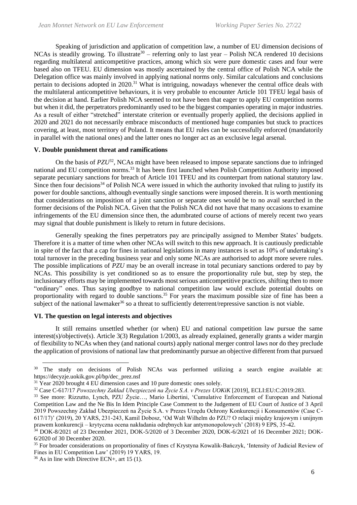Speaking of jurisdiction and application of competition law, a number of EU dimension decisions of NCAs is steadily growing. To illustrate<sup>30</sup> – referring only to last year – Polish NCA rendered 10 decisions regarding multilateral anticompetitive practices, among which six were pure domestic cases and four were based also on TFEU. EU dimension was mostly ascertained by the central office of Polish NCA while the Delegation office was mainly involved in applying national norms only. Similar calculations and conclusions pertain to decisions adopted in 2020.<sup>31</sup> What is intriguing, nowadays whenever the central office deals with the multilateral anticompetitive behaviours, it is very probable to encounter Article 101 TFEU legal basis of the decision at hand. Earlier Polish NCA seemed to not have been that eager to apply EU competition norms but when it did, the perpetrators predominantly used to be the biggest companies operating in major industries. As a result of either "stretched" interstate criterion or eventually properly applied, the decisions applied in 2020 and 2021 do not necessarily embrace misconducts of mentioned huge companies but stuck to practices covering, at least, most territory of Poland. It means that EU rules can be successfully enforced (mandatorily in parallel with the national ones) and the latter ones no longer act as an exclusive legal arsenal.

#### **V. Double punishment threat and ramifications**

On the basis of *PZU*<sup>32</sup> , NCAs might have been released to impose separate sanctions due to infringed national and EU competition norms.<sup>33</sup> It has been first launched when Polish Competition Authority imposed separate pecuniary sanctions for breach of Article 101 TFEU and its counterpart from national statutory law. Since then four decisions<sup>34</sup> of Polish NCA were issued in which the authority invoked that ruling to justify its power for double sanctions, although eventually single sanctions were imposed therein. It is worth mentioning that considerations on imposition of a joint sanction or separate ones would be to no avail searched in the former decisions of the Polish NCA. Given that the Polish NCA did not have that many occasions to examine infringements of the EU dimension since then, the adumbrated course of actions of merely recent two years may signal that double punishment is likely to return in future decisions.

Generally speaking the fines perpetrators pay are principally assigned to Member States' budgets. Therefore it is a matter of time when other NCAs will switch to this new approach. It is cautiously predictable in spite of the fact that a cap for fines in national legislations in many instances is set as 10% of undertaking's total turnover in the preceding business year and only some NCAs are authorised to adopt more severe rules. The possible implications of *PZU* may be an overall increase in total pecuniary sanctions ordered to pay by NCAs. This possibility is yet conditioned so as to ensure the proportionality rule but, step by step, the inclusionary efforts may be implemented towards most serious anticompetitive practices, shifting then to more "ordinary" ones. Thus saying goodbye to national competition law would exclude potential doubts on proportionality with regard to double sanctions.<sup>35</sup> For years the maximum possible size of fine has been a subject of the national lawmaker<sup>36</sup> so a threat to sufficiently deterrent/repressive sanction is not viable.

#### **VI. The question on legal interests and objectives**

It still remains unsettled whether (or when) EU and national competition law pursue the same interest(s)/objective(s). Article 3(3) Regulation 1/2003, as already explained, generally grants a wider margin of flexibility to NCAs when they (and national courts) apply national merger control laws nor do they preclude the application of provisions of national law that predominantly pursue an objective different from that pursued

<sup>&</sup>lt;sup>30</sup> The study on decisions of Polish NCAs was performed utilizing a search engine available at: https://decyzje.uokik.gov.pl/bp/dec\_prez.nsf

 $31$  Year 2020 brought  $\overline{4}$  EU dimension cases and 10 pure domestic ones solely.

<sup>32</sup> Case C-617/17 *Powszechny Zakład Ubezpieczeń na Życie S.A. v Prezes UOKiK* [2019], ECLI:EU:C:2019:283.

<sup>33</sup> See more: Rizzutto, Lynch, PZU Życie…, Mario Libertini, 'Cumulative Enforcement of European and National Competition Law and the Ne Bis In Idem Principle Case Comment to the Judgement of EU Court of Justice of 3 April 2019 Powszechny Zakład Ubezpieczeń na Życie S.A. v Prezes Urzędu Ochrony Konkurencji i Konsumentów (Case C-617/17)' (2019), 20 YARS, 231-243, Kamil Dobosz, 'Od Walt Wilhelm do PZU? O relacji między krajowym i unijnym prawem konkurencji – krytyczna ocena nakładania odrębnych kar antymonopolowych' (2018) 9 EPS, 35-42.

<sup>34</sup> DOK-8/2021 of 23 December 2021, DOK-5/2020 of 3 December 2020, DOK-6/2021 of 16 December 2021; DOK-6/2020 of 30 December 2020.

<sup>&</sup>lt;sup>35</sup> For broader considerations on proportionality of fines cf Krystyna Kowalik-Bańczyk, 'Intensity of Judicial Review of Fines in EU Competition Law' (2019) 19 YARS, 19.

 $36$  As in line with Directive ECN+, art 15 (1).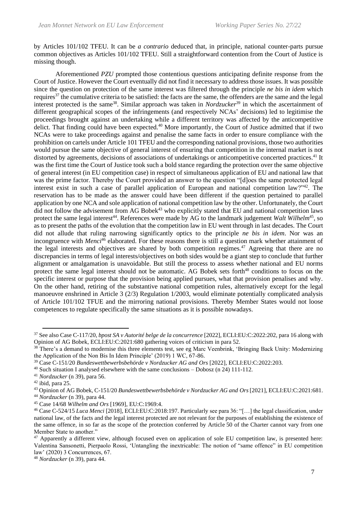by Articles 101/102 TFEU. It can be *a contrario* deduced that, in principle, national counter-parts pursue common objectives as Articles 101/102 TFEU. Still a straightforward contention from the Court of Justice is missing though.

Aforementioned *PZU* prompted those contentious questions anticipating definite response from the Court of Justice. However the Court eventually did not find it necessary to address those issues. It was possible since the question on protection of the same interest was filtered through the principle *ne bis in idem* which requires<sup>37</sup> the cumulative criteria to be satisfied: the facts are the same, the offenders are the same and the legal interest protected is the same<sup>38</sup>. Similar approach was taken in *Nordzucker*<sup>39</sup> in which the ascertainment of different geographical scopes of the infringements (and respectively NCAs' decisions) led to legitimise the proceedings brought against an undertaking while a different territory was affected by the anticompetitive delict. That finding could have been expected.<sup>40</sup> More importantly, the Court of Justice admitted that if two NCAs were to take proceedings against and penalise the same facts in order to ensure compliance with the prohibition on cartels under Article 101 TFEU and the corresponding national provisions, those two authorities would pursue the same objective of general interest of ensuring that competition in the internal market is not distorted by agreements, decisions of associations of undertakings or anticompetitive concerted practices.<sup>41</sup> It was the first time the Court of Justice took such a bold stance regarding the protection over the same objective of general interest (in EU competition case) in respect of simultaneous application of EU and national law that was the prime factor. Thereby the Court provided an answer to the question "[d]oes the same protected legal interest exist in such a case of parallel application of European and national competition law?"<sup>42</sup>. The reservation has to be made as the answer could have been different if the question pertained to parallel application by one NCA and sole application of national competition law by the other. Unfortunately, the Court did not follow the advisement from AG Bobek<sup>43</sup> who explicitly stated that EU and national competition laws protect the same legal interest<sup>44</sup>. References were made by AG to the landmark judgement *Walt Wilhelm*<sup>45</sup>, so as to present the paths of the evolution that the competition law in EU went through in last decades. The Court did not allude that ruling narrowing significantly optics to the principle *ne bis in idem*. Nor was an incongruence with *Menci*<sup>46</sup> elaborated. For these reasons there is still a question mark whether attainment of the legal interests and objectives are shared by both competition regimes.<sup>47</sup> Agreeing that there are no discrepancies in terms of legal interests/objectives on both sides would be a giant step to conclude that further alignment or amalgamation is unavoidable. But still the process to assess whether national and EU norms protect the same legal interest should not be automatic. AG Bobek sets forth<sup>48</sup> conditions to focus on the specific interest or purpose that the provision being applied pursues, what that provision penalises and why. On the other hand, retiring of the substantive national competition rules, alternatively except for the legal manoeuvre enshrined in Article 3 (2/3) Regulation 1/2003, would eliminate potentially complicated analysis of Article 101/102 TFUE and the mirroring national provisions. Thereby Member States would not loose competences to regulate specifically the same situations as it is possible nowadays.

<sup>37</sup> See also Case C-117/20, *bpost SA v Autorité belge de la concurrence* [2022], ECLI:EU:C:2022:202, para 16 along with Opinion of AG Bobek, ECLI:EU:C:2021:680 gathering voices of criticism in para 52.

<sup>&</sup>lt;sup>38</sup> There's a demand to modernise this three elements test, see eg Marc Veenbrink, 'Bringing Back Unity: Modernizing the Application of the Non Bis In Idem Principle' (2019) 1 WC, 67-86.

<sup>39</sup> Case C-151/20 *Bundeswettbewerbsbehörde v Nordzucker AG and Ors* [2022], ECLI:EU:C:2022:203.

 $40$  Such situation I analysed elsewhere with the same conclusions – Dobosz (n 24) 111-112.

<sup>41</sup> *Nordzucker* (n 39), para 56.

<sup>42</sup> ibid, para 25.

<sup>43</sup> Opinion of AG Bobek, C-151/20 *Bundeswettbewerbsbehörde v Nordzucker AG and Ors* [2021], ECLI:EU:C:2021:681. <sup>44</sup> *Nordzucker* (n 39), para 44.

<sup>45</sup> Case 14/68 *Wilhelm and Ors* [1969], EU:C:1969:4.

<sup>46</sup> Case C-524/15 *Luca Menci* [2018], ECLI:EU:C:2018:197. Particularly see para 36: "[…] the legal classification, under national law, of the facts and the legal interest protected are not relevant for the purposes of establishing the existence of the same offence, in so far as the scope of the protection conferred by Article 50 of the Charter cannot vary from one Member State to another."

<sup>47</sup> Apparently a different view, although focused even on application of sole EU competition law, is presented here: Valentina Sansonetti, Pierpaolo Rossi, 'Untangling the inextricable: The notion of "same offence" in EU competition law' (2020) 3 Concurrences, 67.

<sup>48</sup> *Nordzucker* (n 39), para 44.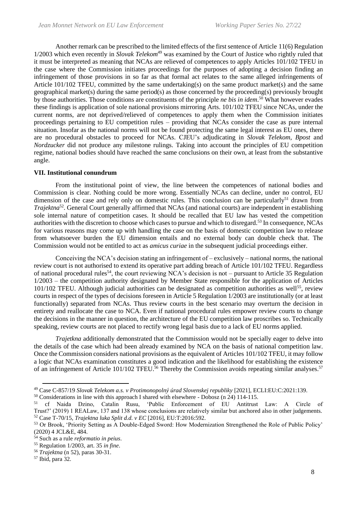Another remark can be prescribed to the limited effects of the first sentence of Article 11(6) Regulation 1/2003 which even recently in *Slovak Telekom*<sup>49</sup> was examined by the Court of Justice who rightly ruled that it must be interpreted as meaning that NCAs are relieved of competences to apply Articles 101/102 TFEU in the case where the Commission initiates proceedings for the purposes of adopting a decision finding an infringement of those provisions in so far as that formal act relates to the same alleged infringements of Article 101/102 TFEU, committed by the same undertaking(s) on the same product market(s) and the same geographical market(s) during the same period(s) as those concerned by the proceeding(s) previously brought by those authorities. Those conditions are constituents of the principle *ne bis in idem*. <sup>50</sup> What however evades these findings is application of sole national provisions mirroring Arts. 101/102 TFEU since NCAs, under the current norms, are not deprived/relieved of competences to apply them when the Commission initiates proceedings pertaining to EU competition rules – providing that NCAs consider the case as pure internal situation. Insofar as the national norms will not be found protecting the same legal interest as EU ones, there are no procedural obstacles to proceed for NCAs. CJEU's adjudicating in *Slovak Telekom*, *Bpost* and *Nordzucker* did not produce any milestone rulings. Taking into account the principles of EU competition regime, national bodies should have reached the same conclusions on their own, at least from the substantive angle.

#### **VII. Institutional conundrum**

From the institutional point of view, the line between the competences of national bodies and Commission is clear. Nothing could be more wrong. Essentially NCAs can decline, under no control, EU dimension of the case and rely only on domestic rules. This conclusion can be particularly<sup>51</sup> drawn from *Trajektna*<sup>52</sup> . General Court generally affirmed that NCAs (and national courts) are independent in establishing sole internal nature of competition cases. It should be recalled that EU law has vested the competition authorities with the discretion to choose which cases to pursue and which to disregard.<sup>53</sup> In consequence, NCAs for various reasons may come up with handling the case on the basis of domestic competition law to release from whatsoever burden the EU dimension entails and no external body can double check that. The Commission would not be entitled to act as *amicus curiae* in the subsequent judicial proceedings either.

Conceiving the NCA's decision stating an infringement of – exclusively – national norms, the national review court is not authorised to extend its operative part adding breach of Article 101/102 TFEU. Regardless of national procedural rules<sup>54</sup>, the court reviewing NCA's decision is not – pursuant to Article 35 Regulation 1/2003 – the competition authority designated by Member State responsible for the application of Articles 101/102 TFEU. Although judicial authorities can be designated as competition authorities as well<sup>55</sup>, review courts in respect of the types of decisions foreseen in Article 5 Regulation 1/2003 are institutionally (or at least functionally) separated from NCAs. Thus review courts in the best scenario may overturn the decision in entirety and reallocate the case to NCA. Even if national procedural rules empower review courts to change the decisions in the manner in question, the architecture of the EU competition law proscribes so. Technically speaking, review courts are not placed to rectify wrong legal basis due to a lack of EU norms applied.

*Trajetkna* additionally demonstrated that the Commission would not be specially eager to delve into the details of the case which had been already examined by NCA on the basis of national competition law. Once the Commission considers national provisions as the equivalent of Articles 101/102 TFEU, it may follow a logic that NCAs examination constitutes a good indication and the likelihood for establishing the existence of an infringement of Article 101/102 TFEU.<sup>56</sup> Thereby the Commission avoids repeating similar analyses.<sup>57</sup>

<sup>50</sup> Considerations in line with this approach I shared with elsewhere - Dobosz (n 24) 114-115.<br><sup>51</sup> cf Naida Dzino, Catalin Rusu, 'Public Enforcement of EU Antitrust

<sup>49</sup> Case C-857/19 *Slovak Telekom a.s. v Protimonopolný úrad Slovenskej republiky* [2021], ECLI:EU:C:2021:139.

<sup>&#</sup>x27;Public Enforcement of EU Antitrust Law: A Circle of Trust?' (2019) 1 REALaw, 137 and 138 whose conclusions are relatively similar but anchored also in other judgements. <sup>52</sup> Case T-70/15, *Trajektna luka Split d.d. v EC* [2016], EU:T:2016:592.

<sup>&</sup>lt;sup>53</sup> Or Brook, 'Priority Setting as A Double-Edged Sword: How Modernization Strengthened the Role of Public Policy' (2020) 4 JCL&E, 484.

<sup>54</sup> Such as a rule *reformatio in peius*.

<sup>55</sup> Regulation 1/2003, art. 35 *in fine*.

<sup>56</sup> *Trajektna* (n 52), paras 30-31.

<sup>57</sup> Ibid, para 32.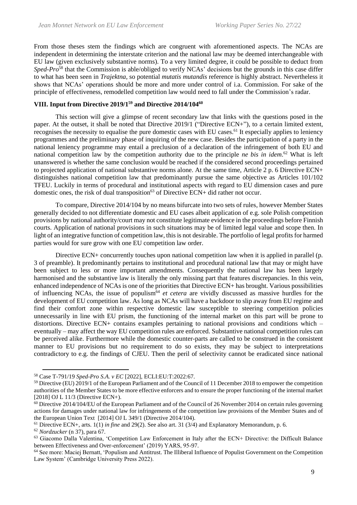From those theses stem the findings which are congruent with aforementioned aspects. The NCAs are independent in determining the interstate criterion and the national law may be deemed interchangeable with EU law (given exclusively substantive norms). To a very limited degree, it could be possible to deduct from *Sped-Pro*<sup>58</sup> that the Commission is able/obliged to verify NCAs' decisions but the grounds in this case differ to what has been seen in *Trajektna*, so potential *mutatis mutandis* reference is highly abstract. Nevertheless it shows that NCAs' operations should be more and more under control of i.a. Commission. For sake of the principle of effectiveness, remodelled competition law would need to fall under the Commission's radar.

# **VIII. Input from Directive 2019/1<sup>59</sup> and Directive 2014/104<sup>60</sup>**

This section will give a glimpse of recent secondary law that links with the questions posed in the paper. At the outset, it shall be noted that Directive 2019/1 ("Directive ECN+"), to a certain limited extent, recognises the necessity to equalise the pure domestic cases with EU cases.<sup>61</sup> It especially applies to leniency programmes and the preliminary phase of inquiring of the new case. Besides the participation of a party in the national leniency programme may entail a preclusion of a declaration of the infringement of both EU and national competition law by the competition authority due to the principle *ne bis in idem*. <sup>62</sup> What is left unanswered is whether the same conclusion would be reached if the considered second proceedings pertained to projected application of national substantive norms alone. At the same time, Article 2 p. 6 Directive ECN+ distinguishes national competition law that predominantly pursue the same objective as Articles 101/102 TFEU. Luckily in terms of procedural and institutional aspects with regard to EU dimension cases and pure domestic ones, the risk of dual transposition<sup>63</sup> of Directive ECN+ did rather not occur.

To compare, Directive 2014/104 by no means bifurcate into two sets of rules, however Member States generally decided to not differentiate domestic and EU cases albeit application of e.g. sole Polish competition provisions by national authority/court may not constitute legitimate evidence in the proceedings before Finnish courts. Application of national provisions in such situations may be of limited legal value and scope then. In light of an integrative function of competition law, this is not desirable. The portfolio of legal profits for harmed parties would for sure grow with one EU competition law order.

Directive ECN+ concurrently touches upon national competition law when it is applied in parallel (p. 3 of preamble). It predominantly pertains to institutional and procedural national law that may or might have been subject to less or more important amendments. Consequently the national law has been largely harmonised and the substantive law is literally the only missing part that features discrepancies. In this vein, enhanced independence of NCAs is one of the priorities that Directive ECN+ has brought. Various possibilities of influencing NCAs, the issue of populism<sup>64</sup> *et cetera* are vividly discussed as massive hurdles for the development of EU competition law. As long as NCAs will have a backdoor to slip away from EU regime and find their comfort zone within respective domestic law susceptible to steering competition policies unnecessarily in line with EU prism, the functioning of the internal market on this part will be prone to distortions. Directive ECN+ contains examples pertaining to national provisions and conditions which – eventually – may affect the way EU competition rules are enforced. Substantive national competition rules can be perceived alike. Furthermore while the domestic counter-parts are called to be construed in the consistent manner to EU provisions but no requirement to do so exists, they may be subject to interpretations contradictory to e.g. the findings of CJEU. Then the peril of selectivity cannot be eradicated since national

<sup>58</sup> Case T-791/19 *Sped-Pro S.A. v EC* [2022], ECLI:EU:T:2022:67.

 $59$  Directive (EU)  $2019/1$  of the European Parliament and of the Council of 11 December 2018 to empower the competition authorities of the Member States to be more effective enforcers and to ensure the proper functioning of the internal market [2018] OJ L 11/3 (Directive ECN+).

 $60$  Directive 2014/104/EU of the European Parliament and of the Council of 26 November 2014 on certain rules governing actions for damages under national law for infringements of the competition law provisions of the Member States and of the European Union Text [2014] OJ L 349/1 (Directive 2014/104).

<sup>61</sup> Directive ECN+, arts. 1(1) *in fine* and 29(2). See also art. 31 (3/4) and Explanatory Memorandum, p. 6.

<sup>62</sup> *Nordzucker* (n 37), para 67.

<sup>63</sup> Giacomo Dalla Valentina, 'Competition Law Enforcement in Italy after the ECN+ Directive: the Difficult Balance between Effectiveness and Over-enforcement' (2019) YARS, 95-97.

<sup>64</sup> See more: Maciej Bernatt, 'Populism and Antitrust. The Illiberal Influence of Populist Government on the Competition Law System' (Cambridge University Press 2022).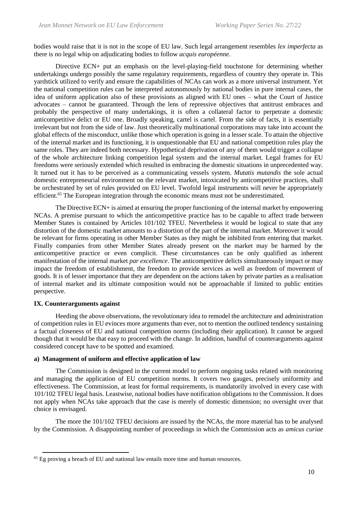bodies would raise that it is not in the scope of EU law. Such legal arrangement resembles *lex imperfecta* as there is no legal whip on adjudicating bodies to follow *acquis européenne*.

Directive ECN+ put an emphasis on the level-playing-field touchstone for determining whether undertakings undergo possibly the same regulatory requirements, regardless of country they operate in. This yardstick utilized to verify and ensure the capabilities of NCAs can work as a more universal instrument. Yet the national competition rules can be interpreted autonomously by national bodies in pure internal cases, the idea of uniform application also of these provisions as aligned with EU ones – what the Court of Justice advocates – cannot be guaranteed. Through the lens of repressive objectives that antitrust embraces and probably the perspective of many undertakings, it is often a collateral factor to perpetrate a domestic anticompetitive delict or EU one. Broadly speaking, cartel is cartel. From the side of facts, it is essentially irrelevant but not from the side of law. Just theoretically multinational corporations may take into account the global effects of the misconduct, unlike those which operation is going in a lesser scale. To attain the objective of the internal market and its functioning, it is unquestionable that EU and national competition rules play the same roles. They are indeed both necessary. Hypothetical deprivation of any of them would trigger a collapse of the whole architecture linking competition legal system and the internal market. Legal frames for EU freedoms were seriously extended which resulted in embracing the domestic situations in unprecedented way. It turned out it has to be perceived as a communicating vessels system. *Mutatis mutandis* the sole actual domestic entrepreneurial environment on the relevant market, intoxicated by anticompetitive practices, shall be orchestrated by set of rules provided on EU level. Twofold legal instruments will never be appropriately efficient.<sup>65</sup> The European integration through the economic means must not be underestimated.

The Directive ECN+ is aimed at ensuring the proper functioning of the internal market by empowering NCAs. A premise pursuant to which the anticompetitive practice has to be capable to affect trade between Member States is contained by Articles 101/102 TFEU. Nevertheless it would be logical to state that any distortion of the domestic market amounts to a distortion of the part of the internal market. Moreover it would be relevant for firms operating in other Member States as they might be inhibited from entering that market. Finally companies from other Member States already present on the market may be harmed by the anticompetitive practice or even complicit. These circumstances can be only qualified as inherent manifestation of the internal market *par excellence*. The anticompetitive delicts simultaneously impact or may impact the freedom of establishment, the freedom to provide services as well as freedom of movement of goods. It is of lesser importance that they are dependent on the actions taken by private parties as a realisation of internal market and its ultimate composition would not be approachable if limited to public entities perspective.

## **IX. Counterarguments against**

Heeding the above observations, the revolutionary idea to remodel the architecture and administration of competition rules in EU evinces more arguments than ever, not to mention the outlined tendency sustaining a factual closeness of EU and national competition norms (including their application). It cannot be argued though that it would be that easy to proceed with the change. In addition, handful of counterarguments against considered concept have to be spotted and examined.

### **a) Management of uniform and effective application of law**

The Commission is designed in the current model to perform ongoing tasks related with monitoring and managing the application of EU competition norms. It covers two gauges, precisely uniformity and effectiveness. The Commission, at least for formal requirements, is mandatorily involved in every case with 101/102 TFEU legal basis. Leastwise, national bodies have notification obligations to the Commission. It does not apply when NCAs take approach that the case is merely of domestic dimension; no oversight over that choice is envisaged.

The more the 101/102 TFEU decisions are issued by the NCAs, the more material has to be analysed by the Commission. A disappointing number of proceedings in which the Commission acts as *amicus curiae*

<sup>65</sup> Eg proving a breach of EU and national law entails more time and human resources.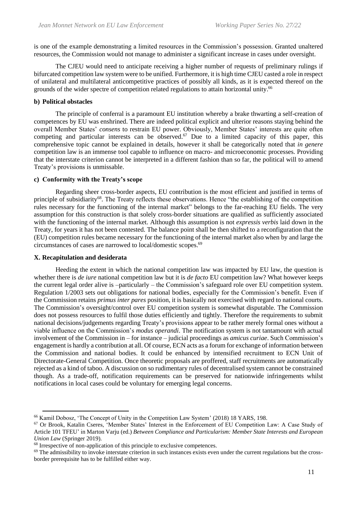is one of the example demonstrating a limited resources in the Commission's possession. Granted unaltered resources, the Commission would not manage to administer a significant increase in cases under oversight.

The CJEU would need to anticipate receiving a higher number of requests of preliminary rulings if bifurcated competition law system were to be unified. Furthermore, it is high time CJEU casted a role in respect of unilateral and multilateral anticompetitive practices of possibly all kinds, as it is expected thereof on the grounds of the wider spectre of competition related regulations to attain horizontal unity.<sup>66</sup>

#### **b) Political obstacles**

The principle of conferral is a paramount EU institution whereby a brake thwarting a self-creation of competences by EU was enshrined. There are indeed political explicit and ulterior reasons staying behind the overall Member States' *consens* to restrain EU power. Obviously, Member States' interests are quite often competing and particular interests can be observed.<sup>67</sup> Due to a limited capacity of this paper, this comprehensive topic cannot be explained in details, however it shall be categorically noted that *in genere*  competition law is an immense tool capable to influence on macro- and microeconomic processes. Providing that the interstate criterion cannot be interpreted in a different fashion than so far, the political will to amend Treaty's provisions is unmissable.

#### **c) Conformity with the Treaty's scope**

Regarding sheer cross-border aspects, EU contribution is the most efficient and justified in terms of principle of subsidiarity<sup>68</sup>. The Treaty reflects these observations. Hence "the establishing of the competition rules necessary for the functioning of the internal market" belongs to the far-reaching EU fields. The very assumption for this construction is that solely cross-border situations are qualified as sufficiently associated with the functioning of the internal market. Although this assumption is not *expressis verbis* laid down in the Treaty, for years it has not been contested. The balance point shall be then shifted to a reconfiguration that the (EU) competition rules became necessary for the functioning of the internal market also when by and large the circumstances of cases are narrowed to local/domestic scopes. 69

#### **X. Recapitulation and desiderata**

Heeding the extent in which the national competition law was impacted by EU law, the question is whether there is *de iure* national competition law but it is *de facto* EU competition law? What however keeps the current legal order alive is –particularly – the Commission's safeguard role over EU competition system. Regulation 1/2003 sets out obligations for national bodies, especially for the Commission's benefit. Even if the Commission retains *primus inter pares* position, it is basically not exercised with regard to national courts. The Commission's oversight/control over EU competition system is somewhat disputable. The Commission does not possess resources to fulfil those duties efficiently and tightly. Therefore the requirements to submit national decisions/judgements regarding Treaty's provisions appear to be rather merely formal ones without a viable influence on the Commission's *modus operandi*. The notification system is not tantamount with actual involvement of the Commission in – for instance – judicial proceedings as *amicus curiae*. Such Commission's engagement is hardly a contribution at all. Of course, ECN acts as a forum for exchange of information between the Commission and national bodies. It could be enhanced by intensified recruitment to ECN Unit of Directorate-General Competition. Once theoretic proposals are proffered, staff recruitments are automatically rejected as a kind of taboo. A discussion on so rudimentary rules of decentralised system cannot be constrained though. As a trade-off, notification requirements can be preserved for nationwide infringements whilst notifications in local cases could be voluntary for emerging legal concerns.

<sup>66</sup> Kamil Dobosz, 'The Concept of Unity in the Competition Law System' (2018) 18 YARS, 198.

<sup>67</sup> Or Brook, Katalin Cseres, 'Member States' Interest in the Enforcement of EU Competition Law: A Case Study of Article 101 TFEU' in Marton Varju (ed.) *Between Compliance and Particularism: Member State Interests and European Union Law* (Springer 2019).

<sup>&</sup>lt;sup>68</sup> Irrespective of non-application of this principle to exclusive competences.

<sup>69</sup> The admissibility to invoke interstate criterion in such instances exists even under the current regulations but the crossborder prerequisite has to be fulfilled either way.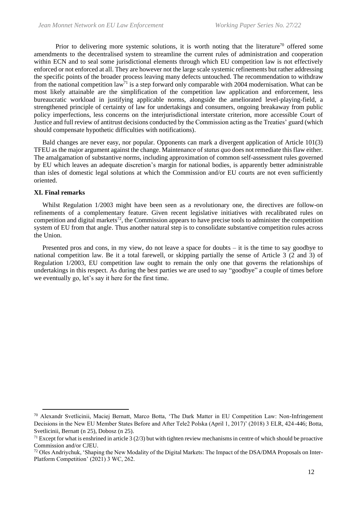Prior to delivering more systemic solutions, it is worth noting that the literature<sup>70</sup> offered some amendments to the decentralised system to streamline the current rules of administration and cooperation within ECN and to seal some jurisdictional elements through which EU competition law is not effectively enforced or not enforced at all. They are however not the large scale systemic refinements but rather addressing the specific points of the broader process leaving many defects untouched. The recommendation to withdraw from the national competition  $\text{law}^{\bar{7}1}$  is a step forward only comparable with 2004 modernisation. What can be most likely attainable are the simplification of the competition law application and enforcement, less bureaucratic workload in justifying applicable norms, alongside the ameliorated level-playing-field, a strengthened principle of certainty of law for undertakings and consumers, ongoing breakaway from public policy imperfections, less concerns on the interjurisdictional interstate criterion, more accessible Court of Justice and full review of antitrust decisions conducted by the Commission acting as the Treaties' guard (which should compensate hypothetic difficulties with notifications).

Bald changes are never easy, nor popular. Opponents can mark a divergent application of Article 101(3) TFEU as the major argument against the change. Maintenance of *status quo* does not remediate this flaw either. The amalgamation of substantive norms, including approximation of common self-assessment rules governed by EU which leaves an adequate discretion's margin for national bodies, is apparently better administrable than isles of domestic legal solutions at which the Commission and/or EU courts are not even sufficiently oriented.

#### **XI. Final remarks**

Whilst Regulation 1/2003 might have been seen as a revolutionary one, the directives are follow-on refinements of a complementary feature. Given recent legislative initiatives with recalibrated rules on competition and digital markets<sup>72</sup>, the Commission appears to have precise tools to administer the competition system of EU from that angle. Thus another natural step is to consolidate substantive competition rules across the Union.

Presented pros and cons, in my view, do not leave a space for doubts – it is the time to say goodbye to national competition law. Be it a total farewell, or skipping partially the sense of Article 3 (2 and 3) of Regulation 1/2003, EU competition law ought to remain the only one that governs the relationships of undertakings in this respect. As during the best parties we are used to say "goodbye" a couple of times before we eventually go, let's say it here for the first time.

<sup>70</sup> Alexandr Svetlicinii, Maciej Bernatt, Marco Botta, 'The Dark Matter in EU Competition Law: Non-Infringement Decisions in the New EU Member States Before and After Tele2 Polska (April 1, 2017)' (2018) 3 ELR, 424-446; Botta, Svetlicinii, Bernatt (n 25), Dobosz (n 25).

 $<sup>71</sup>$  Except for what is enshrined in article 3 (2/3) but with tighten review mechanisms in centre of which should be proactive</sup> Commission and/or CJEU.

<sup>72</sup> Oles Andriychuk, 'Shaping the New Modality of the Digital Markets: The Impact of the DSA/DMA Proposals on Inter-Platform Competition' (2021) 3 WC, 262.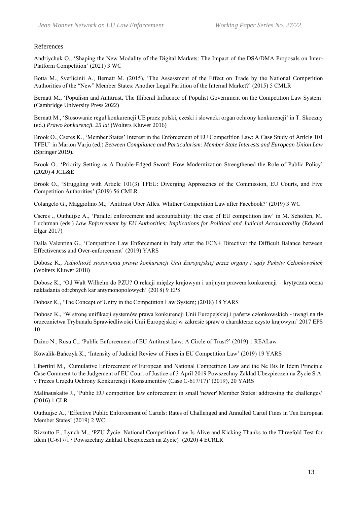## References

Andriychuk O., 'Shaping the New Modality of the Digital Markets: The Impact of the DSA/DMA Proposals on Inter-Platform Competition' (2021) 3 WC

Botta M., Svetlicinii A., Bernatt M. (2015), 'The Assessment of the Effect on Trade by the National Competition Authorities of the "New" Member States: Another Legal Partition of the Internal Market?' (2015) 5 CMLR

Bernatt M., 'Populism and Antitrust. The Illiberal Influence of Populist Government on the Competition Law System' (Cambridge University Press 2022)

Bernatt M., 'Stosowanie reguł konkurencji UE przez polski, czeski i słowacki organ ochrony konkurencji' in T. Skoczny (ed.) *Prawo konkurencji. 25 lat* (Wolters Kluwer 2016)

Brook O., Cseres K., 'Member States' Interest in the Enforcement of EU Competition Law: A Case Study of Article 101 TFEU' in Marton Varju (ed.) *Between Compliance and Particularism: Member State Interests and European Union Law* (Springer 2019).

Brook O., 'Priority Setting as A Double-Edged Sword: How Modernization Strengthened the Role of Public Policy' (2020) 4 JCL&E

Brook O., 'Struggling with Article 101(3) TFEU: Diverging Approaches of the Commission, EU Courts, and Five Competition Authorities' (2019) 56 CMLR

Colangelo G., Maggiolino M., 'Antitrust Über Alles. Whither Competition Law after Facebook?' (2019) 3 WC

Cseres ., Outhuijse A., 'Parallel enforcement and accountability: the case of EU competition law' in M. Scholten, M. Luchtman (eds.) *Law Enforcement by EU Authorities: Implications for Political and Judicial Accountability* (Edward Elgar 2017)

Dalla Valentina G., 'Competition Law Enforcement in Italy after the ECN+ Directive: the Difficult Balance between Effectiveness and Over-enforcement' (2019) YARS

Dobosz K., *Jednolitość stosowania prawa konkurencji Unii Europejskiej przez organy i sądy Państw Członkowskich* (Wolters Kluwer 2018)

Dobosz K., 'Od Walt Wilhelm do PZU? O relacji między krajowym i unijnym prawem konkurencji – krytyczna ocena nakładania odrębnych kar antymonopolowych' (2018) 9 EPS

Dobosz K., 'The Concept of Unity in the Competition Law System; (2018) 18 YARS

Dobosz K., 'W stronę unifikacji systemów prawa konkurencji Unii Europejskiej i państw członkowskich - uwagi na tle orzecznictwa Trybunału Sprawiedliwości Unii Europejskiej w zakresie spraw o charakterze czysto krajowym' 2017 EPS 10

Dzino N., Rusu C., 'Public Enforcement of EU Antitrust Law: A Circle of Trust?' (2019) 1 REALaw

Kowalik-Bańczyk K., 'Intensity of Judicial Review of Fines in EU Competition Law' (2019) 19 YARS

Libertini M., 'Cumulative Enforcement of European and National Competition Law and the Ne Bis In Idem Principle Case Comment to the Judgement of EU Court of Justice of 3 April 2019 Powszechny Zakład Ubezpieczeń na Życie S.A. v Prezes Urzędu Ochrony Konkurencji i Konsumentów (Case C-617/17)' (2019), 20 YARS

Malinauskaite J., 'Public EU competition law enforcement in small 'newer' Member States: addressing the challenges' (2016) 1 CLR

Outhuijse A., 'Effective Public Enforcement of Cartels: Rates of Challenged and Annulled Cartel Fines in Ten European Member States' (2019) 2 WC

Rizzutto F., Lynch M., 'PZU Życie: National Competition Law Is Alive and Kicking Thanks to the Threefold Test for Idem (C-617/17 Powszechny Zakład Ubezpieczeń na Życie)' (2020) 4 ECRLR